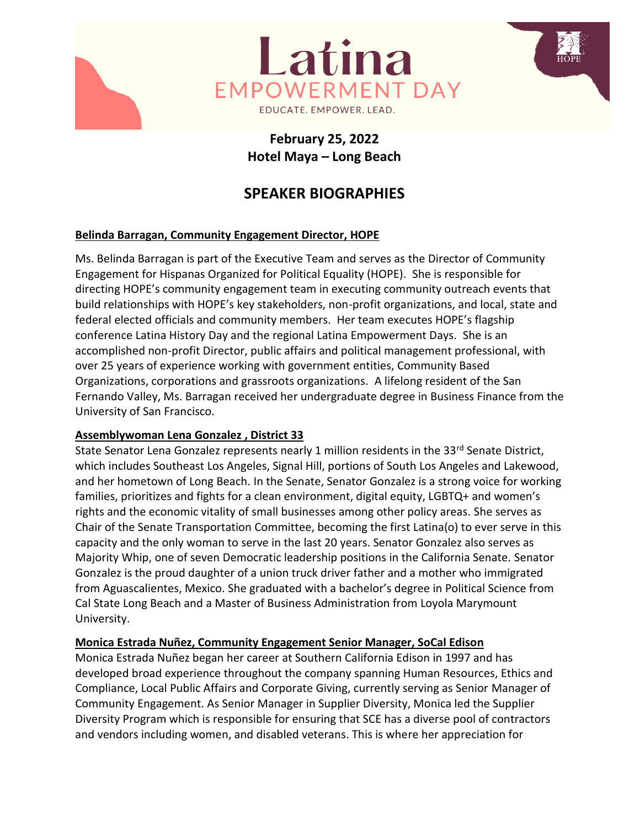

# **February 25, 2022 Hotel Maya – Long Beach**

# **SPEAKER BIOGRAPHIES**

#### **Belinda Barragan, Community Engagement Director, HOPE**

Ms. Belinda Barragan is part of the Executive Team and serves as the Director of Community Engagement for Hispanas Organized for Political Equality (HOPE). She is responsible for directing HOPE's community engagement team in executing community outreach events that build relationships with HOPE's key stakeholders, non-profit organizations, and local, state and federal elected officials and community members. Her team executes HOPE's flagship conference Latina History Day and the regional Latina Empowerment Days. She is an accomplished non-profit Director, public affairs and political management professional, with over 25 years of experience working with government entities, Community Based Organizations, corporations and grassroots organizations. A lifelong resident of the San Fernando Valley, Ms. Barragan received her undergraduate degree in Business Finance from the University of San Francisco.

#### **Assemblywoman Lena Gonzalez , District 33**

State Senator Lena Gonzalez represents nearly 1 million residents in the 33<sup>rd</sup> Senate District, which includes Southeast Los Angeles, Signal Hill, portions of South Los Angeles and Lakewood, and her hometown of Long Beach. In the Senate, Senator Gonzalez is a strong voice for working families, prioritizes and fights for a clean environment, digital equity, LGBTQ+ and women's rights and the economic vitality of small businesses among other policy areas. She serves as Chair of the Senate Transportation Committee, becoming the first Latina(o) to ever serve in this capacity and the only woman to serve in the last 20 years. Senator Gonzalez also serves as Majority Whip, one of seven Democratic leadership positions in the California Senate. Senator Gonzalez is the proud daughter of a union truck driver father and a mother who immigrated from Aguascalientes, Mexico. She graduated with a bachelor's degree in Political Science from Cal State Long Beach and a Master of Business Administration from Loyola Marymount University.

#### **Monica Estrada Nuñez, Community Engagement Senior Manager, SoCal Edison**

Monica Estrada Nuñez began her career at Southern California Edison in 1997 and has developed broad experience throughout the company spanning Human Resources, Ethics and Compliance, Local Public Affairs and Corporate Giving, currently serving as Senior Manager of Community Engagement. As Senior Manager in Supplier Diversity, Monica led the Supplier Diversity Program which is responsible for ensuring that SCE has a diverse pool of contractors and vendors including women, and disabled veterans. This is where her appreciation for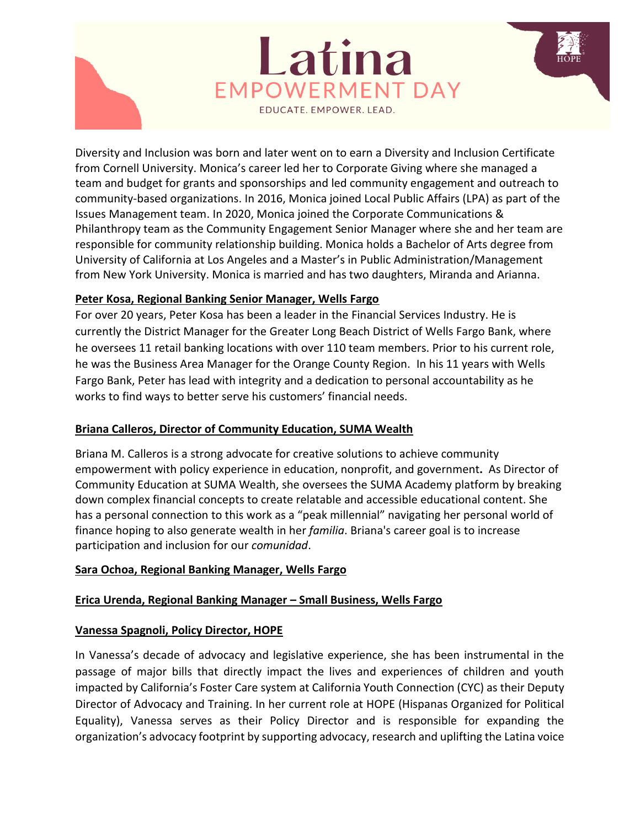

# Latina **EMPOWERMENT DAY** EDUCATE. EMPOWER. LEAD.

Diversity and Inclusion was born and later went on to earn a Diversity and Inclusion Certificate from Cornell University. Monica's career led her to Corporate Giving where she managed a team and budget for grants and sponsorships and led community engagement and outreach to community-based organizations. In 2016, Monica joined Local Public Affairs (LPA) as part of the Issues Management team. In 2020, Monica joined the Corporate Communications & Philanthropy team as the Community Engagement Senior Manager where she and her team are responsible for community relationship building. Monica holds a Bachelor of Arts degree from University of California at Los Angeles and a Master's in Public Administration/Management from New York University. Monica is married and has two daughters, Miranda and Arianna.

#### **Peter Kosa, Regional Banking Senior Manager, Wells Fargo**

For over 20 years, Peter Kosa has been a leader in the Financial Services Industry. He is currently the District Manager for the Greater Long Beach District of Wells Fargo Bank, where he oversees 11 retail banking locations with over 110 team members. Prior to his current role, he was the Business Area Manager for the Orange County Region. In his 11 years with Wells Fargo Bank, Peter has lead with integrity and a dedication to personal accountability as he works to find ways to better serve his customers' financial needs.

## **Briana Calleros, Director of Community Education, SUMA Wealth**

Briana M. Calleros is a strong advocate for creative solutions to achieve community empowerment with policy experience in education, nonprofit, and government**.** As Director of Community Education at SUMA Wealth, she oversees the SUMA Academy platform by breaking down complex financial concepts to create relatable and accessible educational content. She has a personal connection to this work as a "peak millennial" navigating her personal world of finance hoping to also generate wealth in her *familia*. Briana's career goal is to increase participation and inclusion for our *comunidad*.

## **Sara Ochoa, Regional Banking Manager, Wells Fargo**

## **Erica Urenda, Regional Banking Manager – Small Business, Wells Fargo**

## **Vanessa Spagnoli, Policy Director, HOPE**

In Vanessa's decade of advocacy and legislative experience, she has been instrumental in the passage of major bills that directly impact the lives and experiences of children and youth impacted by California's Foster Care system at California Youth Connection (CYC) as their Deputy Director of Advocacy and Training. In her current role at HOPE (Hispanas Organized for Political Equality), Vanessa serves as their Policy Director and is responsible for expanding the organization's advocacy footprint by supporting advocacy, research and uplifting the Latina voice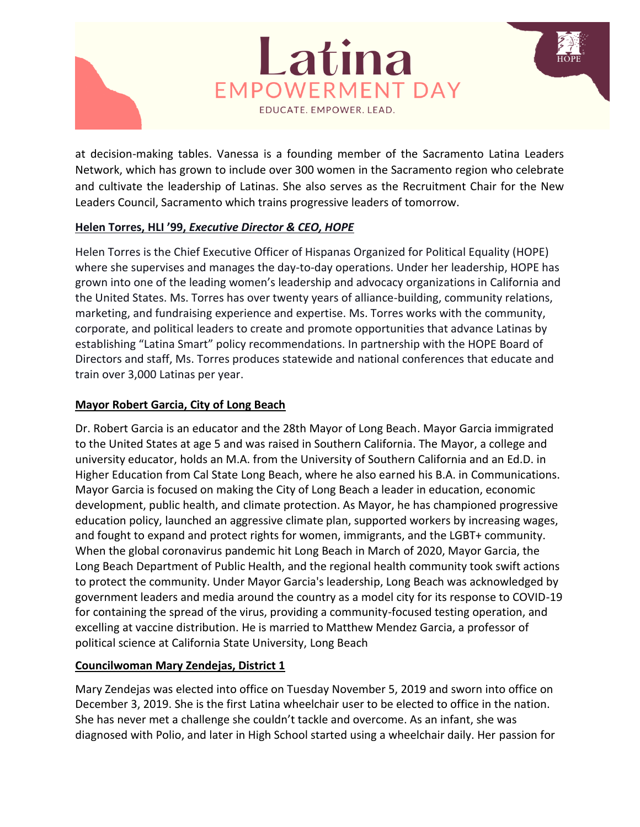



at decision-making tables. Vanessa is a founding member of the Sacramento Latina Leaders Network, which has grown to include over 300 women in the Sacramento region who celebrate and cultivate the leadership of Latinas. She also serves as the Recruitment Chair for the New Leaders Council, Sacramento which trains progressive leaders of tomorrow.

#### **Helen Torres, HLI '99,** *Executive Director & CEO, HOPE*

Helen Torres is the Chief Executive Officer of Hispanas Organized for Political Equality (HOPE) where she supervises and manages the day-to-day operations. Under her leadership, HOPE has grown into one of the leading women's leadership and advocacy organizations in California and the United States. Ms. Torres has over twenty years of alliance-building, community relations, marketing, and fundraising experience and expertise. Ms. Torres works with the community, corporate, and political leaders to create and promote opportunities that advance Latinas by establishing "Latina Smart" policy recommendations. In partnership with the HOPE Board of Directors and staff, Ms. Torres produces statewide and national conferences that educate and train over 3,000 Latinas per year.

#### **Mayor Robert Garcia, City of Long Beach**

Dr. Robert Garcia is an educator and the 28th Mayor of Long Beach. Mayor Garcia immigrated to the United States at age 5 and was raised in Southern California. The Mayor, a college and university educator, holds an M.A. from the University of Southern California and an Ed.D. in Higher Education from Cal State Long Beach, where he also earned his B.A. in Communications. Mayor Garcia is focused on making the City of Long Beach a leader in education, economic development, public health, and climate protection. As Mayor, he has championed progressive education policy, launched an aggressive climate plan, supported workers by increasing wages, and fought to expand and protect rights for women, immigrants, and the LGBT+ community. When the global coronavirus pandemic hit Long Beach in March of 2020, Mayor Garcia, the Long Beach Department of Public Health, and the regional health community took swift actions to protect the community. Under Mayor Garcia's leadership, Long Beach was acknowledged by government leaders and media around the country as a model city for its response to COVID-19 for containing the spread of the virus, providing a community-focused testing operation, and excelling at vaccine distribution. He is married to Matthew Mendez Garcia, a professor of political science at California State University, Long Beach

## **Councilwoman Mary Zendejas, District 1**

Mary Zendejas was elected into office on Tuesday November 5, 2019 and sworn into office on December 3, 2019. She is the first Latina wheelchair user to be elected to office in the nation. She has never met a challenge she couldn't tackle and overcome. As an infant, she was diagnosed with Polio, and later in High School started using a wheelchair daily. Her passion for